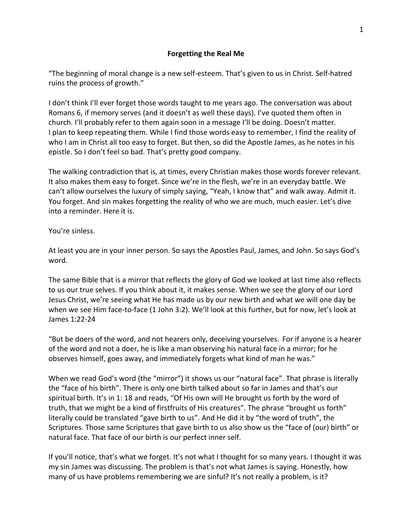## **Forgetting the Real Me**

"The beginning of moral change is a new self-esteem. That's given to us in Christ. Self-hatred ruins the process of growth."

I don't think I'll ever forget those words taught to me years ago. The conversation was about Romans 6, if memory serves (and it doesn't as well these days). I've quoted them often in church. I'll probably refer to them again soon in a message I'll be doing. Doesn't matter. I plan to keep repeating them. While I find those words easy to remember, I find the reality of who I am in Christ all too easy to forget. But then, so did the Apostle James, as he notes in his epistle. So I don't feel so bad. That's pretty good company.

The walking contradiction that is, at times, every Christian makes those words forever relevant. It also makes them easy to forget. Since we're in the flesh, we're in an everyday battle. We can't allow ourselves the luxury of simply saying, "Yeah, I know that" and walk away. Admit it. You forget. And sin makes forgetting the reality of who we are much, much easier. Let's dive into a reminder. Here it is.

You're sinless.

At least you are in your inner person. So says the Apostles Paul, James, and John. So says God's word.

The same Bible that is a mirror that reflects the glory of God we looked at last time also reflects to us our true selves. If you think about it, it makes sense. When we see the glory of our Lord Jesus Christ, we're seeing what He has made us by our new birth and what we will one day be when we see Him face-to-face (1 John 3:2). We'll look at this further, but for now, let's look at James 1:22-24

"But be doers of the word, and not hearers only, deceiving yourselves. For if anyone is a hearer of the word and not a doer, he is like a man observing his natural face in a mirror; for he observes himself, goes away, and immediately forgets what kind of man he was."

When we read God's word (the "mirror") it shows us our "natural face". That phrase is literally the "face of his birth". There is only one birth talked about so far in James and that's our spiritual birth. It's in 1: 18 and reads, "Of His own will He brought us forth by the word of truth, that we might be a kind of firstfruits of His creatures". The phrase "brought us forth" literally could be translated "gave birth to us". And He did it by "the word of truth", the Scriptures. Those same Scriptures that gave birth to us also show us the "face of (our) birth" or natural face. That face of our birth is our perfect inner self.

If you'll notice, that's what we forget. It's not what I thought for so many years. I thought it was my sin James was discussing. The problem is that's not what James is saying. Honestly, how many of us have problems remembering we are sinful? It's not really a problem, is it?